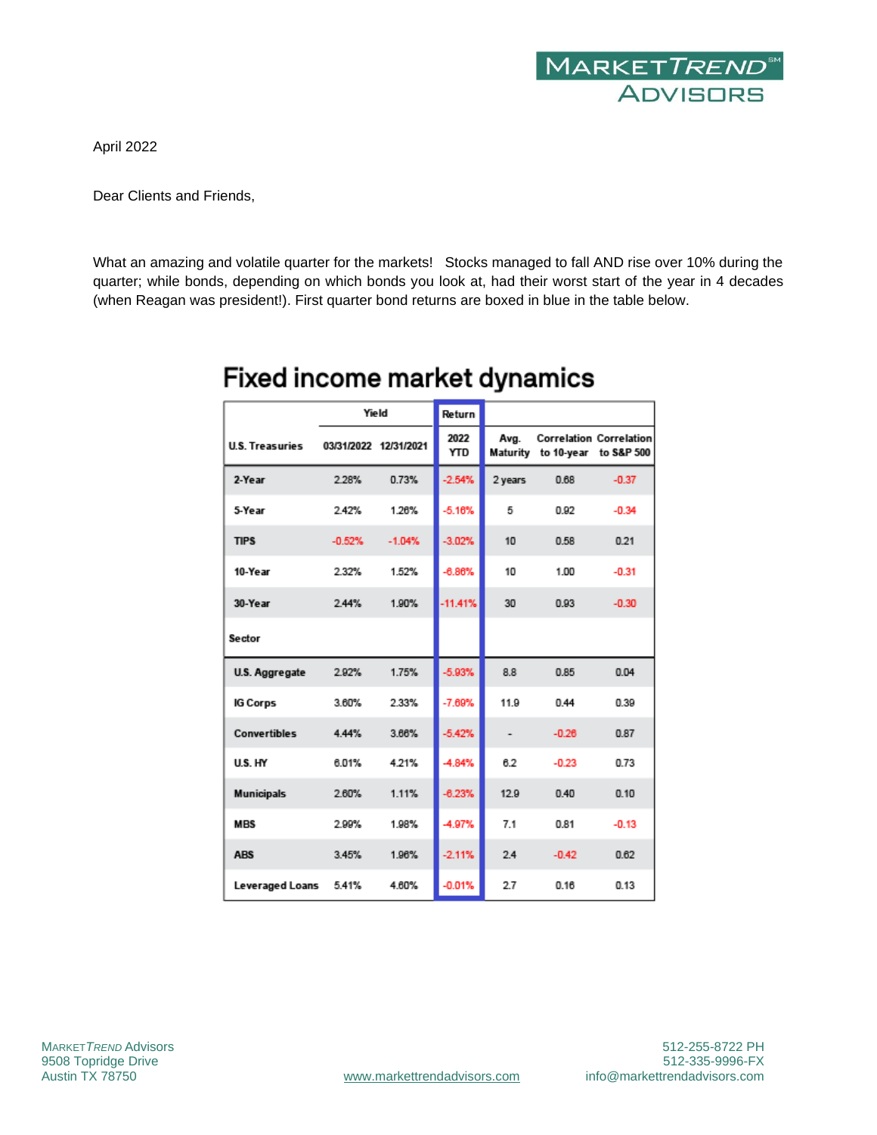

April 2022

Dear Clients and Friends,

What an amazing and volatile quarter for the markets! Stocks managed to fall AND rise over 10% during the quarter; while bonds, depending on which bonds you look at, had their worst start of the year in 4 decades (when Reagan was president!). First quarter bond returns are boxed in blue in the table below.

|                        | Yield                 |          | Return             |                |                                |                                |
|------------------------|-----------------------|----------|--------------------|----------------|--------------------------------|--------------------------------|
| <b>U.S. Treasuries</b> | 03/31/2022 12/31/2021 |          | 2022<br><b>YTD</b> | Avg.           | Maturity to 10-year to S&P 500 | <b>Correlation Correlation</b> |
| 2-Year                 | 2.28%                 | 0.73%    | $-2.54%$           | 2 years        | 0.68                           | $-0.37$                        |
| 5-Year                 | 2.42%                 | 1.26%    | $-5.16%$           | 5              | 0.92                           | $-0.34$                        |
| <b>TIPS</b>            | $-0.52%$              | $-1.04%$ | $-3.02%$           | 10             | 0.58                           | 0.21                           |
| 10-Year                | 2.32%                 | 1.52%    | $-6.86%$           | 10             | 1.00                           | $-0.31$                        |
| 30-Year                | 2.44%                 | 1.90%    | $-11.41%$          | 30             | 0.93                           | $-0.30$                        |
| <b>Sector</b>          |                       |          |                    |                |                                |                                |
| U.S. Aggregate         | 2.92%                 | 1.75%    | $-5.93%$           | 8.8            | 0.85                           | 0.04                           |
| <b>IG Corps</b>        | 3.60%                 | 2.33%    | $-7.69%$           | 11.9           | 0.44                           | 0.39                           |
| <b>Convertibles</b>    | 4.44%                 | 3.66%    | $-5.42%$           | $\overline{a}$ | $-0.26$                        | 0.87                           |
| U.S. HY                | 6.01%                 | 4.21%    | $-4.84%$           | 6.2            | $-0.23$                        | 0.73                           |
| <b>Municipals</b>      | 2.60%                 | 1.11%    | $-6.23%$           | 12.9           | 0.40                           | 0.10                           |
| <b>MBS</b>             | 2.99%                 | 1.98%    | $-4.97%$           | 7.1            | 0.81                           | $-0.13$                        |
| <b>ABS</b>             | 3.45%                 | 1.96%    | $-2.11%$           | 2.4            | $-0.42$                        | 0.62                           |
| Leveraged Loans        | 5.41%                 | 4.60%    | $-0.01%$           | 2.7            | 0.16                           | 0.13                           |

## Fixed income market dynamics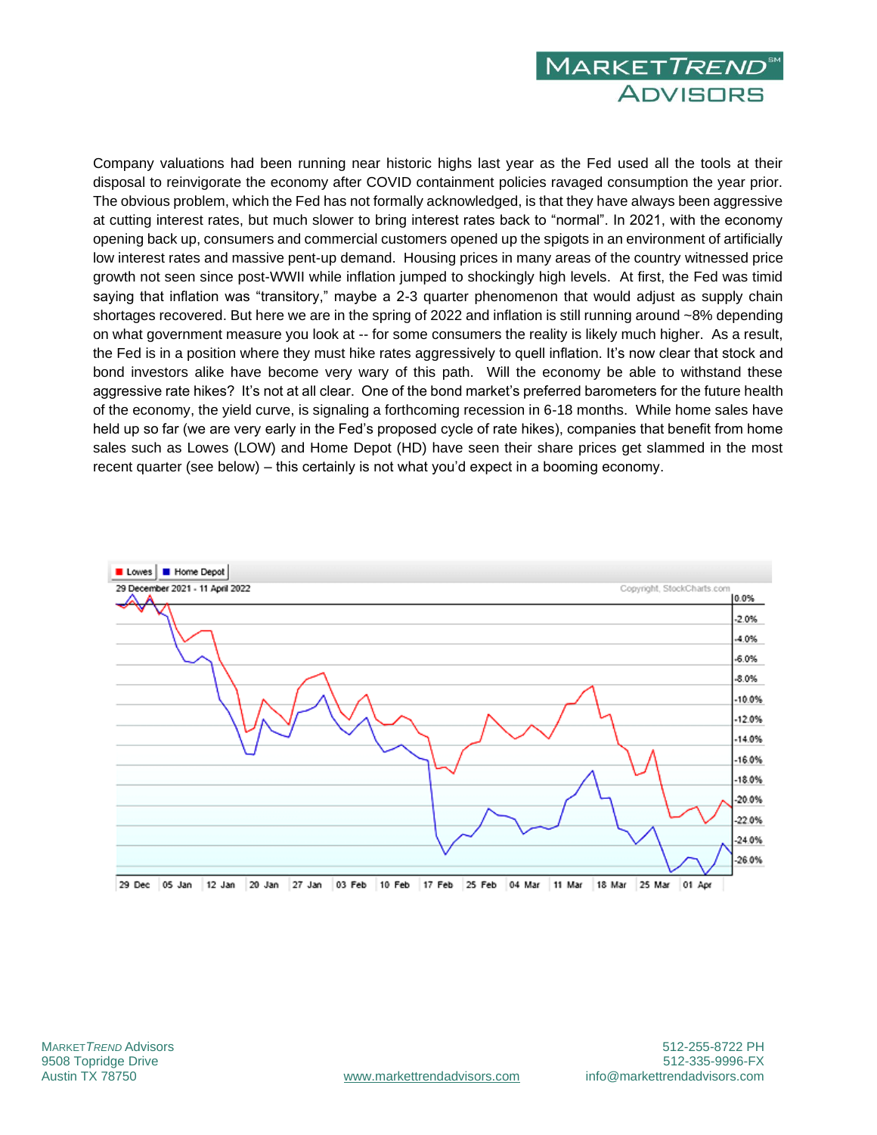

Company valuations had been running near historic highs last year as the Fed used all the tools at their disposal to reinvigorate the economy after COVID containment policies ravaged consumption the year prior. The obvious problem, which the Fed has not formally acknowledged, is that they have always been aggressive at cutting interest rates, but much slower to bring interest rates back to "normal". In 2021, with the economy opening back up, consumers and commercial customers opened up the spigots in an environment of artificially low interest rates and massive pent-up demand. Housing prices in many areas of the country witnessed price growth not seen since post-WWII while inflation jumped to shockingly high levels. At first, the Fed was timid saying that inflation was "transitory," maybe a 2-3 quarter phenomenon that would adjust as supply chain shortages recovered. But here we are in the spring of 2022 and inflation is still running around ~8% depending on what government measure you look at -- for some consumers the reality is likely much higher. As a result, the Fed is in a position where they must hike rates aggressively to quell inflation. It's now clear that stock and bond investors alike have become very wary of this path. Will the economy be able to withstand these aggressive rate hikes? It's not at all clear. One of the bond market's preferred barometers for the future health of the economy, the yield curve, is signaling a forthcoming recession in 6-18 months. While home sales have held up so far (we are very early in the Fed's proposed cycle of rate hikes), companies that benefit from home sales such as Lowes (LOW) and Home Depot (HD) have seen their share prices get slammed in the most recent quarter (see below) – this certainly is not what you'd expect in a booming economy.

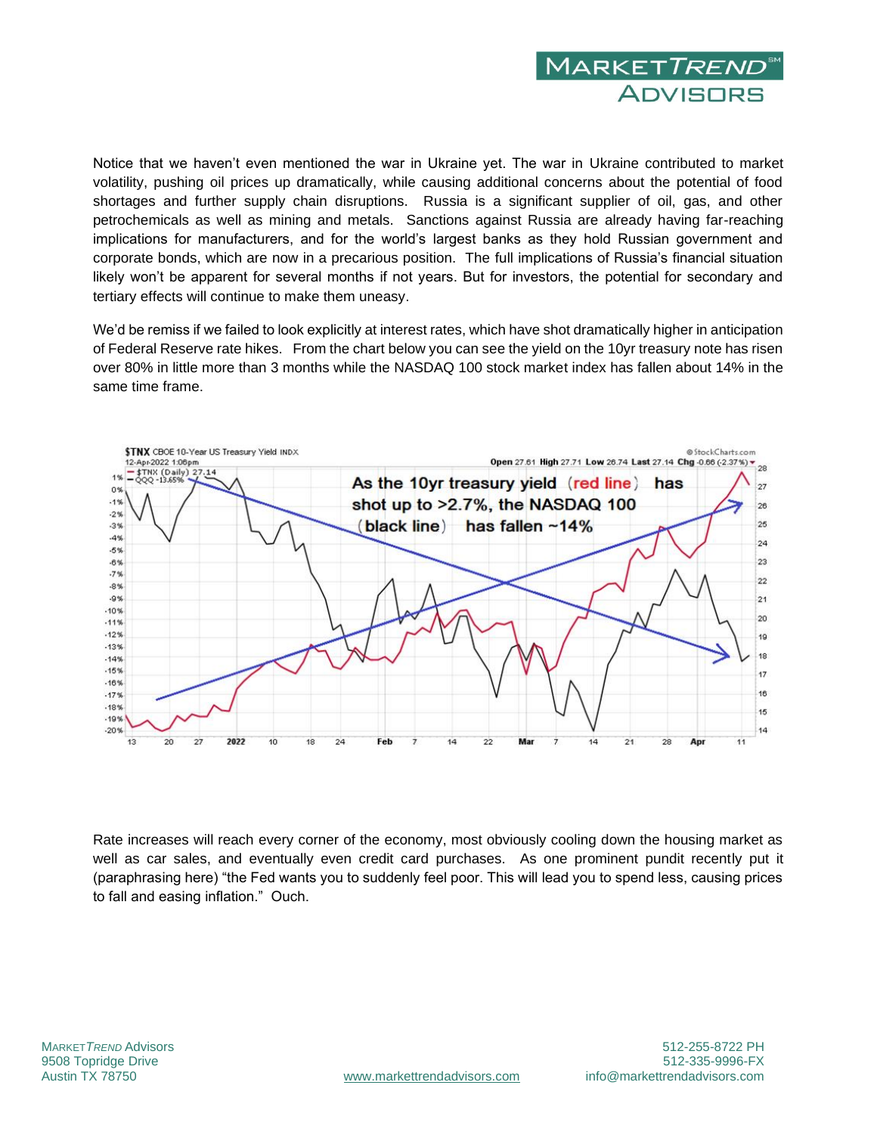

Notice that we haven't even mentioned the war in Ukraine yet. The war in Ukraine contributed to market volatility, pushing oil prices up dramatically, while causing additional concerns about the potential of food shortages and further supply chain disruptions. Russia is a significant supplier of oil, gas, and other petrochemicals as well as mining and metals. Sanctions against Russia are already having far-reaching implications for manufacturers, and for the world's largest banks as they hold Russian government and corporate bonds, which are now in a precarious position. The full implications of Russia's financial situation likely won't be apparent for several months if not years. But for investors, the potential for secondary and tertiary effects will continue to make them uneasy.

We'd be remiss if we failed to look explicitly at interest rates, which have shot dramatically higher in anticipation of Federal Reserve rate hikes. From the chart below you can see the yield on the 10yr treasury note has risen over 80% in little more than 3 months while the NASDAQ 100 stock market index has fallen about 14% in the same time frame.



Rate increases will reach every corner of the economy, most obviously cooling down the housing market as well as car sales, and eventually even credit card purchases. As one prominent pundit recently put it (paraphrasing here) "the Fed wants you to suddenly feel poor. This will lead you to spend less, causing prices to fall and easing inflation." Ouch.